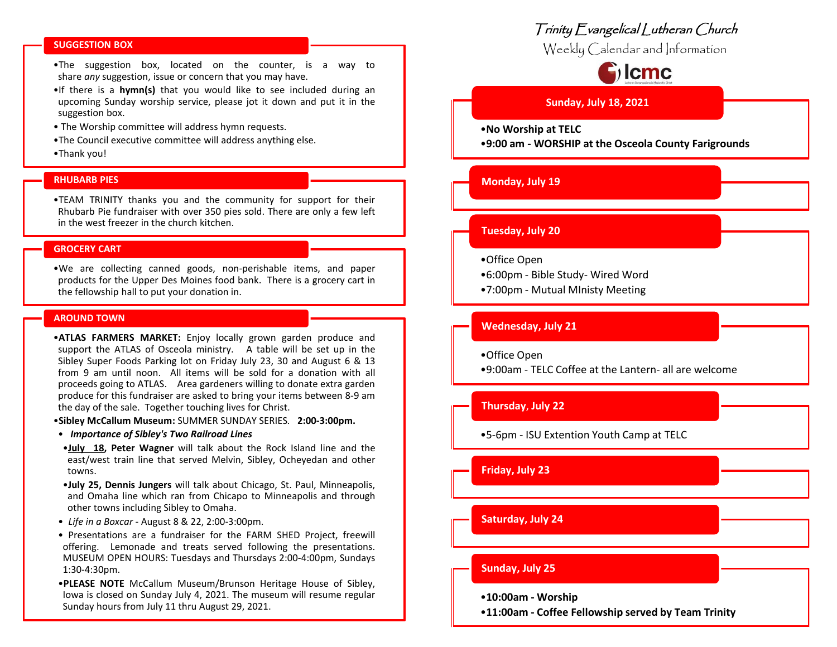#### **SUGGESTION BOX**

•The suggestion box, located on the counter, is a way to share *any* suggestion, issue or concern that you may have.

- •If there is a **hymn(s)** that you would like to see included during an upcoming Sunday worship service, please jot it down and put it in the suggestion box.
- The Worship committee will address hymn requests.
- •The Council executive committee will address anything else.
- •Thank you!

#### **RHUBARB PIES**

•TEAM TRINITY thanks you and the community for support for their Rhubarb Pie fundraiser with over 350 pies sold. There are only a few left in the west freezer in the church kitchen.

# **GROCERY CART**

•We are collecting canned goods, non-perishable items, and paper products for the Upper Des Moines food bank. There is a grocery cart in the fellowship hall to put your donation in.

#### **AROUND TOWN**

•**ATLAS FARMERS MARKET:** Enjoy locally grown garden produce and support the ATLAS of Osceola ministry. A table will be set up in the Sibley Super Foods Parking lot on Friday July 23, 30 and August 6 & 13 from 9 am until noon. All items will be sold for a donation with all proceeds going to ATLAS. Area gardeners willing to donate extra garden produce for this fundraiser are asked to bring your items between 8-9 am the day of the sale. Together touching lives for Christ.

•**Sibley McCallum Museum:** SUMMER SUNDAY SERIES*.* **2:00-3:00pm.**

- *Importance of Sibley's Two Railroad Lines*
- •**July 18, Peter Wagner** will talk about the Rock Island line and the east/west train line that served Melvin, Sibley, Ocheyedan and other towns.
- •**July 25, Dennis Jungers** will talk about Chicago, St. Paul, Minneapolis, and Omaha line which ran from Chicapo to Minneapolis and through other towns including Sibley to Omaha.
- *Life in a Boxcar* August 8 & 22, 2:00-3:00pm.
- Presentations are a fundraiser for the FARM SHED Project, freewill offering. Lemonade and treats served following the presentations. MUSEUM OPEN HOURS: Tuesdays and Thursdays 2:00-4:00pm, Sundays 1:30-4:30pm.
- •**PLEASE NOTE** McCallum Museum/Brunson Heritage House of Sibley, Iowa is closed on Sunday July 4, 2021. The museum will resume regular Sunday hours from July 11 thru August 29, 2021.

# Trinity Evangelical Lutheran Church

Weekly Calendar and Information

# $\mathbf{C}$  lcmc

# **Sunday, July 18, 2021**

•**No Worship at TELC**

•**9:00 am - WORSHIP at the Osceola County Farigrounds**

#### **Monday, July 19**

# **Tuesday, July 20**

- •Office Open
- •6:00pm Bible Study- Wired Word
- •7:00pm Mutual MInisty Meeting

# **Wednesday, July 21**

•Office Open

•9:00am - TELC Coffee at the Lantern- all are welcome

# **Thursday**, **July 22**

•5-6pm - ISU Extention Youth Camp at TELC

# **Friday, July 23**

**Saturday, July 24**

# **Sunday, July 25**

- •**10:00am - Worship**
- •**11:00am - Coffee Fellowship served by Team Trinity**